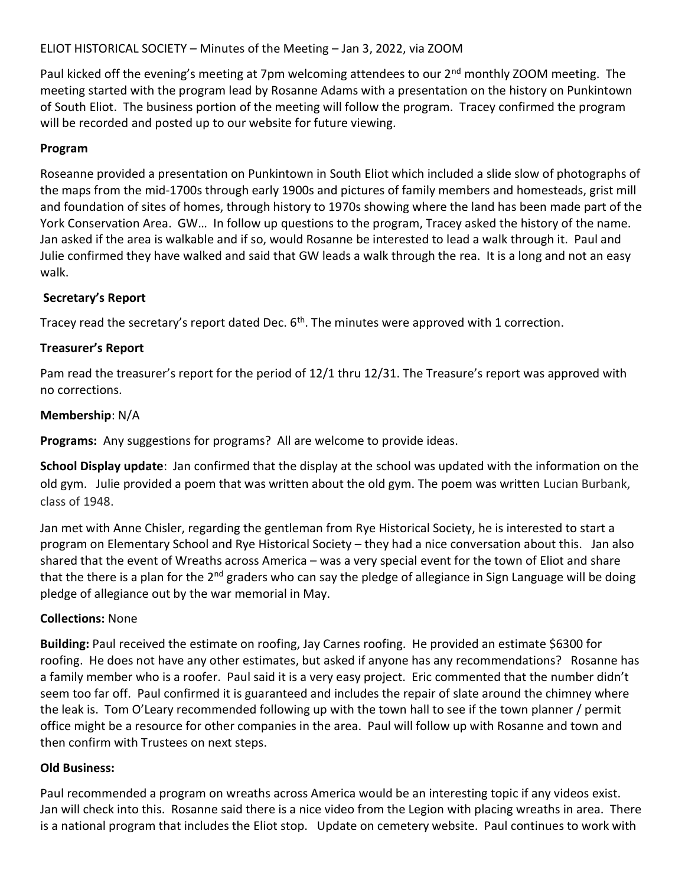ELIOT HISTORICAL SOCIETY – Minutes of the Meeting – Jan 3, 2022, via ZOOM

Paul kicked off the evening's meeting at 7pm welcoming attendees to our 2<sup>nd</sup> monthly ZOOM meeting. The meeting started with the program lead by Rosanne Adams with a presentation on the history on Punkintown of South Eliot. The business portion of the meeting will follow the program. Tracey confirmed the program will be recorded and posted up to our website for future viewing.

## Program

Roseanne provided a presentation on Punkintown in South Eliot which included a slide slow of photographs of the maps from the mid-1700s through early 1900s and pictures of family members and homesteads, grist mill and foundation of sites of homes, through history to 1970s showing where the land has been made part of the York Conservation Area. GW… In follow up questions to the program, Tracey asked the history of the name. Jan asked if the area is walkable and if so, would Rosanne be interested to lead a walk through it. Paul and Julie confirmed they have walked and said that GW leads a walk through the rea. It is a long and not an easy walk.

## Secretary's Report

Tracey read the secretary's report dated Dec. 6<sup>th</sup>. The minutes were approved with 1 correction.

# Treasurer's Report

Pam read the treasurer's report for the period of 12/1 thru 12/31. The Treasure's report was approved with no corrections.

## Membership: N/A

Programs: Any suggestions for programs? All are welcome to provide ideas.

School Display update: Jan confirmed that the display at the school was updated with the information on the old gym. Julie provided a poem that was written about the old gym. The poem was written Lucian Burbank, class of 1948.

Jan met with Anne Chisler, regarding the gentleman from Rye Historical Society, he is interested to start a program on Elementary School and Rye Historical Society – they had a nice conversation about this. Jan also shared that the event of Wreaths across America – was a very special event for the town of Eliot and share that the there is a plan for the 2<sup>nd</sup> graders who can say the pledge of allegiance in Sign Language will be doing pledge of allegiance out by the war memorial in May.

## Collections: None

Building: Paul received the estimate on roofing, Jay Carnes roofing. He provided an estimate \$6300 for roofing. He does not have any other estimates, but asked if anyone has any recommendations? Rosanne has a family member who is a roofer. Paul said it is a very easy project. Eric commented that the number didn't seem too far off. Paul confirmed it is guaranteed and includes the repair of slate around the chimney where the leak is. Tom O'Leary recommended following up with the town hall to see if the town planner / permit office might be a resource for other companies in the area. Paul will follow up with Rosanne and town and then confirm with Trustees on next steps.

## Old Business:

Paul recommended a program on wreaths across America would be an interesting topic if any videos exist. Jan will check into this. Rosanne said there is a nice video from the Legion with placing wreaths in area. There is a national program that includes the Eliot stop. Update on cemetery website. Paul continues to work with